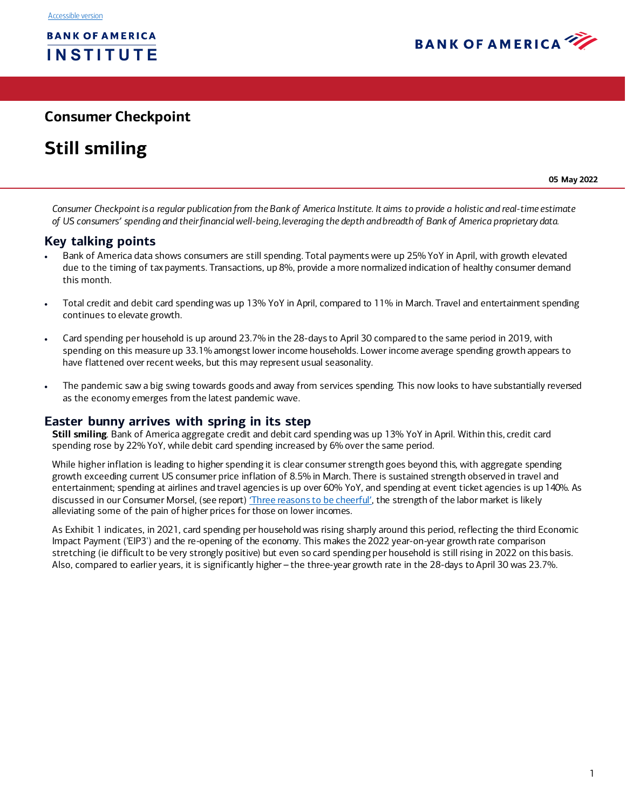

# **Consumer Checkpoint**

# **Still smiling**

**05 May 2022**

*Consumer Checkpoint is a regular publication from the Bank of America Institute. It aims to provide a holistic and real-time estimate of US consumers' spending and their financial well-being, leveraging the depth and breadth of Bank of America proprietary data.* 

# **Key talking points**

- Bank of America data shows consumers are still spending. Total payments were up 25% YoY in April, with growth elevated due to the timing of tax payments. Transactions, up 8%, provide a more normalized indication of healthy consumer demand this month.
- Total credit and debit card spending was up 13% YoY in April, compared to 11% in March. Travel and entertainment spending continues to elevate growth.
- Card spending per household is up around 23.7% in the 28-days to April 30 compared to the same period in 2019, with spending on this measure up 33.1% amongst lower income households. Lower income average spending growth appears to have flattened over recent weeks, but this may represent usual seasonality.
- The pandemic saw a big swing towards goods and away from services spending. This now looks to have substantially reversed as the economy emerges from the latest pandemic wave.

# **Easter bunny arrives with spring in its step**

**Still smiling**. Bank of America aggregate credit and debit card spending was up 13% YoY in April. Within this, credit card spending rose by 22% YoY, while debit card spending increased by 6% over the same period.

While higher inflation is leading to higher spending it is clear consumer strength goes beyond this, with aggregate spending growth exceeding current US consumer price inflation of 8.5% in March. There is sustained strength observed in travel and entertainment; spending at airlines and travel agencies is up over 60% YoY, and spending at event ticket agencies is up 140%. As discussed in our Consumer Morsel, (see report) [Three reasons to be cheerful](https://business.bofa.com/en-us/content/bank-of-america-institute/economic-insights/consumer-morsel-april-2022.html)', the strength of the labor market is likely alleviating some of the pain of higher prices for those on lower incomes.

As Exhibit 1 indicates, in 2021, card spending per household was rising sharply around this period, reflecting the third Economic Impact Payment ('EIP3') and the re-opening of the economy. This makes the 2022 year-on-year growth rate comparison stretching (ie difficult to be very strongly positive) but even so card spending per household is still rising in 2022 on this basis. Also, compared to earlier years, it is significantly higher – the three-year growth rate in the 28-days to April 30 was 23.7%.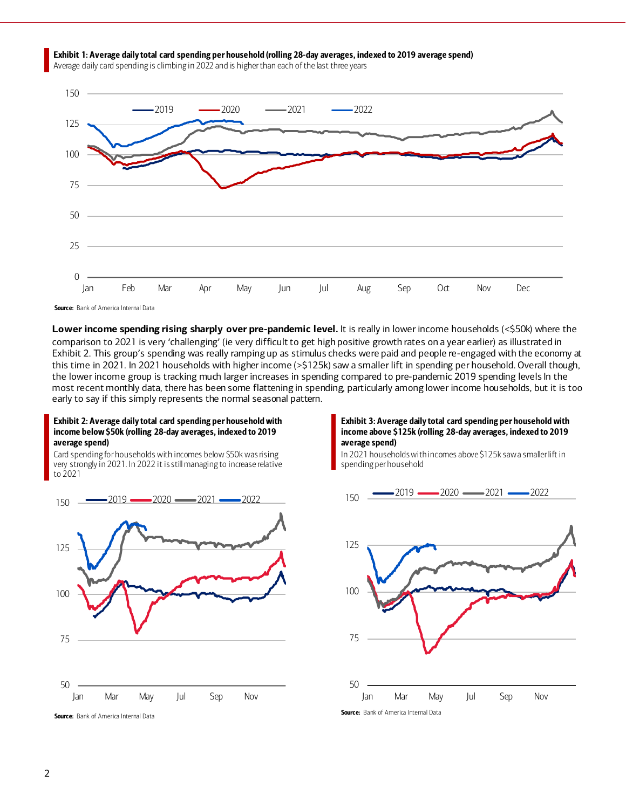

Average daily card spending is climbing in 2022 and is higher than each of the last three years



Source: Bank of America Internal Data

**Lower income spending rising sharply over pre-pandemic level.** It is really in lower income households (<\$50k) where the comparison to 2021 is very 'challenging' (ie very difficult to get high positive growth rates on a year earlier) as illustrated in Exhibit 2. This group's spending was really ramping up as stimulus checks were paid and people re-engaged with the economy at this time in 2021. In 2021 households with higher income (>\$125k) saw a smaller lift in spending per household. Overall though, the lower income group is tracking much larger increases in spending compared to pre-pandemic 2019 spending levels In the most recent monthly data, there has been some flattening in spending, particularly among lower income households, but it is too early to say if this simply represents the normal seasonal pattern.

#### Exhibit 2: Average daily total card spending per household with income below \$50k (rolling 28-day averages, indexed to 2019 average spend)

Card spending for households with incomes below \$50k was rising very strongly in 2021. In 2022 it is still managing to increase relative to 2021



Exhibit 3: Average daily total card spending per household with income above \$125k (rolling 28-day averages, indexed to 2019 average spend)

In 2021 households with incomes above \$125k saw a smaller lift in spending per household

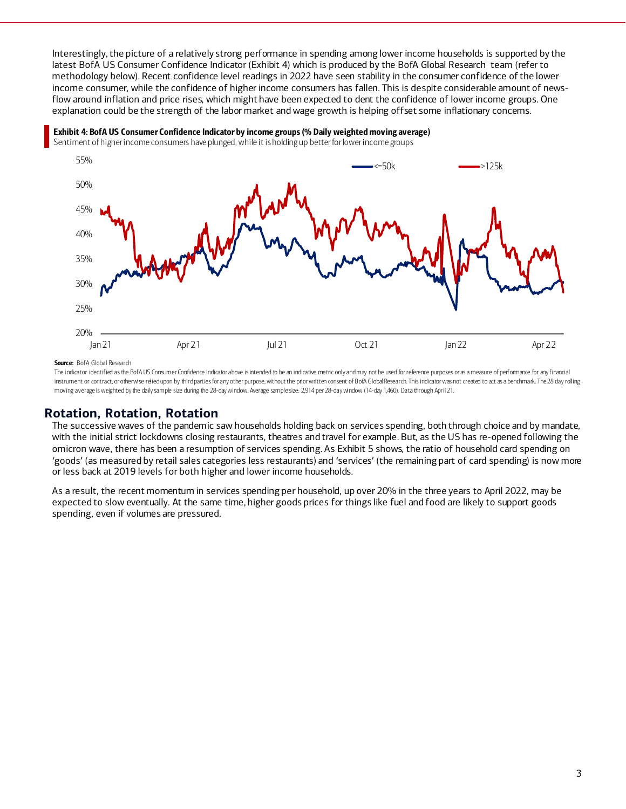Interestingly, the picture of a relatively strong performance in spending among lower income households is supported by the latest BofA US Consumer Confidence Indicato[r \(Exhibit 4](#page-2-0)) which is produced by the BofA Global Research team (refer to methodology below). Recent confidence level readings in 2022 have seen stability in the consumer confidence of the lower income consumer, while the confidence of higher income consumers has fallen. This is despite considerable amount of newsflow around inflation and price rises, which might have been expected to dent the confidence of lower income groups. One explanation could be the strength of the labor market and wage growth is helping offset some inflationary concerns.



#### <span id="page-2-0"></span>Exhibit 4: BofA US Consumer Confidence Indicator by income groups (% Daily weighted moving average)

Sentiment of higher income consumers have plunged, while it is holding up betterfor lower income groups

Source: BofA Global Research

The indicator identified as the BofA US Consumer Confidence Indicator above is intended to be an indicative metric only and may not be used for reference purposes or as a measure of performance for any financial instrument or contract, or otherwise relied upon by third parties for any other purpose, without the prior written consent of BofA Global Research. This indicator was not created to act as a benchmark. The 28 day rolling moving average is weighted by the daily sample size during the 28-day window. Average sample size: 2,914 per 28-day window (14-day 1,460). Data through April 21.

# **Rotation, Rotation, Rotation**

The successive waves of the pandemic saw households holding back on services spending, both through choice and by mandate, with the initial strict lockdowns closing restaurants, theatres and travel for example. But, as the US has re-opened following the omicron wave, there has been a resumption of services spending. As Exhibit 5 shows, the ratio of household card spending on 'goods' (as measured by retail sales categories less restaurants) and 'services' (the remaining part of card spending) is now more or less back at 2019 levels for both higher and lower income households.

As a result, the recent momentum in services spending per household, up over 20% in the three years to April 2022, may be expected to slow eventually. At the same time, higher goods prices for things like fuel and food are likely to support goods spending, even if volumes are pressured.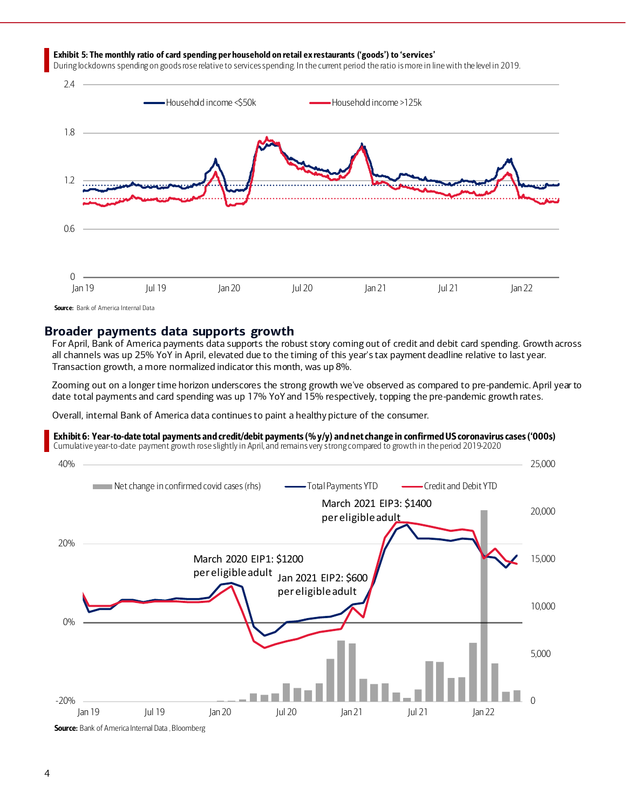#### Exhibit 5: The monthly ratio of card spending per household on retail ex restaurants ('goods') to 'services'

During lockdowns spending on goods rose relative to services spending. In the current period the ratio is more in line with the level in 2019.



Source: Bank of America Internal Data

# **Broader payments data supports growth**

For April, Bank of America payments data supports the robust story coming out of credit and debit card spending. Growth across all channels was up 25% YoY in April, elevated due to the timing of this year's tax payment deadline relative to last year. Transaction growth, a more normalized indicator this month, was up 8%.

Zooming out on a longer time horizon underscores the strong growth we've observed as compared to pre-pandemic. April year to date total payments and card spending was up 17% YoY and 15% respectively, topping the pre-pandemic growth rates.

Overall, internal Bank of America data continues to paint a healthy picture of the consumer.

Exhibit 6: Year-to-date total payments and credit/debit payments (% y/y) and net change in confirmed US coronavirus cases ('000s)

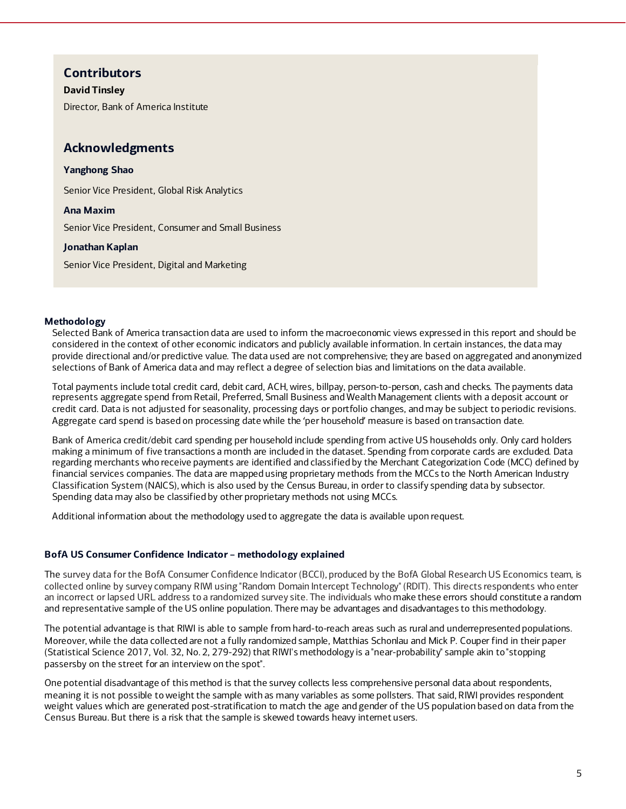# **Contributors**

### **David Tinsley**

Director, Bank of America Institute

# **Acknowledgments**

# **Yanghong Shao**

Senior Vice President, Global Risk Analytics

# **Ana Maxim**

Senior Vice President, Consumer and Small Business

# **Jonathan Kaplan**

Senior Vice President, Digital and Marketing

### **Methodology**

Selected Bank of America transaction data are used to inform the macroeconomic views expressed in this report and should be considered in the context of other economic indicators and publicly available information. In certain instances, the data may provide directional and/or predictive value. The data used are not comprehensive; they are based on aggregated and anonymized selections of Bank of America data and may reflect a degree of selection bias and limitations on the data available.

Total payments include total credit card, debit card, ACH, wires, billpay, person-to-person, cash and checks. The payments data represents aggregate spend from Retail, Preferred, Small Business and Wealth Management clients with a deposit account or credit card. Data is not adjusted for seasonality, processing days or portfolio changes, and may be subject to periodic revisions. Aggregate card spend is based on processing date while the 'per household' measure is based on transaction date.

Bank of America credit/debit card spending per household include spending from active US households only. Only card holders making a minimum of five transactions a month are included in the dataset. Spending from corporate cards are excluded. Data regarding merchants who receive payments are identified and classified by the Merchant Categorization Code (MCC) defined by financial services companies. The data are mapped using proprietary methods from the MCCs to the North American Industry Classification System (NAICS), which is also used by the Census Bureau, in order to classify spending data by subsector. Spending data may also be classified by other proprietary methods not using MCCs.

Additional information about the methodology used to aggregate the data is available upon request.

### **BofA US Consumer Confidence Indicator – methodology explained**

The survey data for the BofA Consumer Confidence Indicator (BCCI), produced by the BofA Global Research US Economics team, is collected online by survey company RIWI using "Random Domain Intercept Technology" (RDIT). This directs respondents who enter an incorrect or lapsed URL address to a randomized survey site. The individuals who make these errors should constitute a random and representative sample of the US online population. There may be advantages and disadvantages to this methodology.

The potential advantage is that RIWI is able to sample from hard-to-reach areas such as rural and underrepresented populations. Moreover, while the data collected are not a fully randomized sample, Matthias Schonlau and Mick P. Couper find in their paper (Statistical Science 2017, Vol. 32, No. 2, 279-292) that RIWI's methodology is a "near-probability" sample akin to "stopping passersby on the street for an interview on the spot".

One potential disadvantage of this method is that the survey collects less comprehensive personal data about respondents, meaning it is not possible to weight the sample with as many variables as some pollsters. That said, RIWI provides respondent weight values which are generated post-stratification to match the age and gender of the US population based on data from the Census Bureau. But there is a risk that the sample is skewed towards heavy internet users.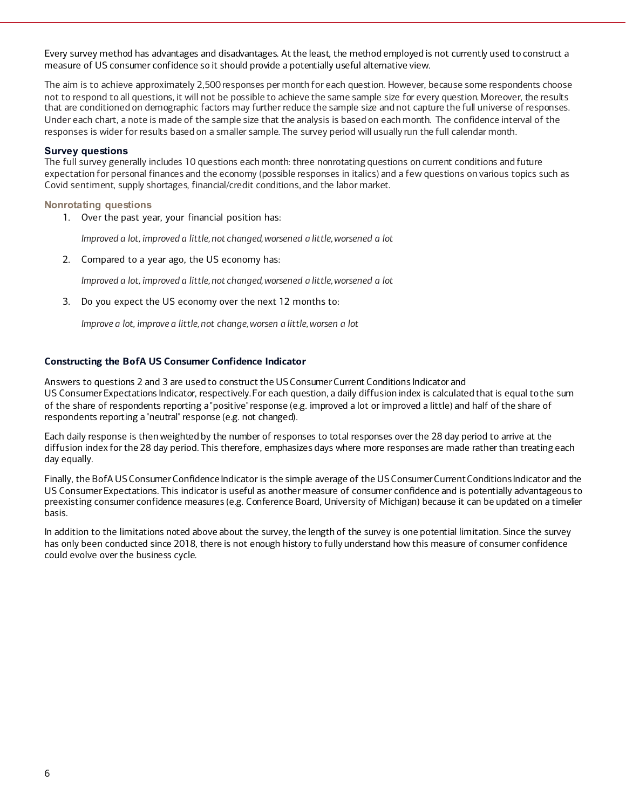Every survey method has advantages and disadvantages. At the least, the method employed is not currently used to construct a measure of US consumer confidence so it should provide a potentially useful alternative view.

The aim is to achieve approximately 2,500 responses per month for each question. However, because some respondents choose not to respond to all questions, it will not be possible to achieve the same sample size for every question. Moreover, the results that are conditioned on demographic factors may further reduce the sample size and not capture the full universe of responses. Under each chart, a note is made of the sample size that the analysis is based on each month. The confidence interval of the responses is wider for results based on a smaller sample. The survey period will usually run the full calendar month.

#### **Survey questions**

The full survey generally includes 10 questions each month: three nonrotating questions on current conditions and future expectation for personal finances and the economy (possible responses in italics) and a few questions on various topics such as Covid sentiment, supply shortages, financial/credit conditions, and the labor market.

#### **Nonrotating questions**

1. Over the past year, your financial position has:

*Improved a lot, improved a little, not changed, worsened a little, worsened a lot*

2. Compared to a year ago, the US economy has:

*Improved a lot, improved a little, not changed, worsened a little, worsened a lot*

3. Do you expect the US economy over the next 12 months to:

*Improve a lot, improve a little, not change, worsen a little, worsen a lot*

#### **Constructing the BofA US Consumer Confidence Indicator**

Answers to questions 2 and 3 are used to construct the USConsumerCurrent Conditions Indicator and US ConsumerExpectations Indicator, respectively.For each question, a daily diffusion index is calculated that is equal tothe sum of the share of respondents reporting a "positive"response (e.g. improved a lot or improved a little) and half of the share of respondents reporting a "neutral" response (e.g. not changed).

Each daily response is then weighted by the number of responses to total responses over the 28 day period to arrive at the diffusion index for the 28 day period. This therefore, emphasizes days where more responses are made rather than treating each day equally.

Finally, the BofA US Consumer Confidence Indicator is the simple average of the US Consumer Current Conditions Indicator and the US ConsumerExpectations. This indicator is useful as another measure of consumer confidence and is potentially advantageous to preexisting consumer confidence measures (e.g. Conference Board, University of Michigan) because it can be updated on a timelier basis.

In addition to the limitations noted above about the survey, the length of the survey is one potential limitation. Since the survey has only been conducted since 2018, there is not enough history to fully understand how this measure of consumer confidence could evolve over the business cycle.